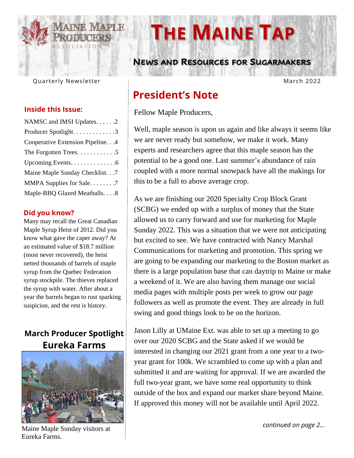

# Quarterly Newsletter

#### **Inside this Issue:**

| NAMSC and IMSI Updates. 2         |
|-----------------------------------|
| Producer Spotlight. 3             |
| Cooperative Extension Pipeline. 4 |
| The Forgotten Trees. 5            |
| Upcoming Events. 6                |
| Maine Maple Sunday Checklist.7    |
| MMPA Supplies for Sale7           |
| Maple-BBQ Glazed Meatballs. 8     |

#### **Did you know?**

Many may recall the Great Canadian Maple Syrup Heist of 2012. Did you know what gave the caper away? At an estimated value of \$18.7 million (most never recovered), the heist netted thousands of barrels of maple syrup from the Quebec Federation syrup stockpile. The thieves replaced the syrup with water. After about a year the barrels began to rust sparking suspicion, and the rest is history.

### **March Producer Spotlight Eureka Farms**



Maine Maple Sunday visitors at Eureka Farms.

# **THE MAINE TAP**

 **NEWS AND RESOURCES FOR SUGARMAKERS**

March 2022

# **President's Note**

Fellow Maple Producers,

Well, maple season is upon us again and like always it seems like we are never ready but somehow, we make it work. Many experts and researchers agree that this maple season has the potential to be a good one. Last summer's abundance of rain coupled with a more normal snowpack have all the makings for this to be a full to above average crop.

As we are finishing our 2020 Specialty Crop Block Grant (SCBG) we ended up with a surplus of money that the State allowed us to carry forward and use for marketing for Maple Sunday 2022. This was a situation that we were not anticipating but excited to see. We have contracted with Nancy Marshal Communications for marketing and promotion. This spring we are going to be expanding our marketing to the Boston market as there is a large population base that can daytrip to Maine or make a weekend of it. We are also having them manage our social media pages with multiple posts per week to grow our page followers as well as promote the event. They are already in full swing and good things look to be on the horizon.

Jason Lilly at UMaine Ext. was able to set up a meeting to go over our 2020 SCBG and the State asked if we would be interested in changing our 2021 grant from a one year to a twoyear grant for 100k. We scrambled to come up with a plan and submitted it and are waiting for approval. If we are awarded the full two-year grant, we have some real opportunity to think outside of the box and expand our market share beyond Maine. If approved this money will not be available until April 2022.

*continued on page 2…*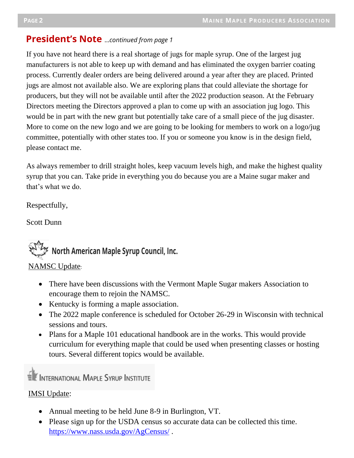# **President's Note** …*continued from page 1*

If you have not heard there is a real shortage of jugs for maple syrup. One of the largest jug manufacturers is not able to keep up with demand and has eliminated the oxygen barrier coating process. Currently dealer orders are being delivered around a year after they are placed. Printed jugs are almost not available also. We are exploring plans that could alleviate the shortage for producers, but they will not be available until after the 2022 production season. At the February Directors meeting the Directors approved a plan to come up with an association jug logo. This would be in part with the new grant but potentially take care of a small piece of the jug disaster. More to come on the new logo and we are going to be looking for members to work on a logo/jug committee, potentially with other states too. If you or someone you know is in the design field, please contact me.

As always remember to drill straight holes, keep vacuum levels high, and make the highest quality syrup that you can. Take pride in everything you do because you are a Maine sugar maker and that's what we do.

Respectfully,

Scott Dunn



#### NAMSC Update:

- There have been discussions with the Vermont Maple Sugar makers Association to encourage them to rejoin the NAMSC.
- Kentucky is forming a maple association.
- The 2022 maple conference is scheduled for October 26-29 in Wisconsin with technical sessions and tours.
- Plans for a Maple 101 educational handbook are in the works. This would provide curriculum for everything maple that could be used when presenting classes or hosting tours. Several different topics would be available.

INTERNATIONAL MAPLE SYRUP INSTITUTE

#### IMSI Update:

- Annual meeting to be held June 8-9 in Burlington, VT.
- Please sign up for the USDA census so accurate data can be collected this time. <https://www.nass.usda.gov/AgCensus/>.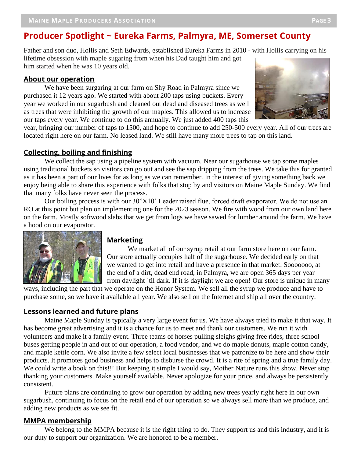# **<sup>P</sup>AGE <sup>3</sup> Producer Spotlight ~ Eureka Farms, Palmyra, ME, Somerset County**

Father and son duo, Hollis and Seth Edwards, established Eureka Farms in 2010 - with Hollis carrying on his lifetime obsession with maple sugaring from when his Dad taught him and got him started when he was 10 years old.

#### **About our operation**

purchased it 12 years ago. We started with about 200 taps using buckets. Every year we worked in our sugarbush and cleaned out dead and diseased trees as well We have been surgaring at our farm on Shy Road in Palmyra since we purchased it 12 years ago. We started with about 200 taps using buckets. Every as trees that were inhibiting the growth of our maples. This allowed us to increase our taps every year. We continue to do this annually. We just added 400 taps this



year, bringing our number of taps to 1500, and hope to continue to add 250-500 every year. All of our trees are located right here on our farm. No leased land. We still have many more trees to tap on this land.

#### **Collecting, boiling and finishing**

We collect the sap using a pipeline system with vacuum. Near our sugarhouse we tap some maples using traditional buckets so visitors can go out and see the sap dripping from the trees. We take this for granted as it has been a part of our lives for as long as we can remember. In the interest of giving something back we enjoy being able to share this experience with folks that stop by and visitors on Maine Maple Sunday. We find that many folks have never seen the process.

Our boiling process is with our 30"X10` Leader raised flue, forced draft evaporator. We do not use an RO at this point but plan on implementing one for the 2023 season. We fire with wood from our own land here on the farm. Mostly softwood slabs that we get from logs we have sawed for lumber around the farm. We have a hood on our evaporator.



#### **Marketing**

We market all of our syrup retail at our farm store here on our farm. Our store actually occupies half of the sugarhouse. We decided early on that we wanted to get into retail and have a presence in that market. Sooooooo, at the end of a dirt, dead end road, in Palmyra, we are open 365 days per year from daylight `til dark. If it is daylight we are open! Our store is unique in many

ways, including the part that we operate on the Honor System. We sell all the syrup we produce and have to purchase some, so we have it available all year. We also sell on the Internet and ship all over the country.

#### **Lessons learned and future plans**

Maine Maple Sunday is typically a very large event for us. We have always tried to make it that way. It has become great advertising and it is a chance for us to meet and thank our customers. We run it with volunteers and make it a family event. Three teams of horses pulling sleighs giving free rides, three school buses getting people in and out of our operation, a food vendor, and we do maple donuts, maple cotton candy, and maple kettle corn. We also invite a few select local businesses that we patronize to be here and show their products. It promotes good business and helps to disburse the crowd. It is a rite of spring and a true family day. We could write a book on this!!! But keeping it simple I would say, Mother Nature runs this show. Never stop thanking your customers. Make yourself available. Never apologize for your price, and always be persistently consistent.

Future plans are continuing to grow our operation by adding new trees yearly right here in our own sugarbush, continuing to focus on the retail end of our operation so we always sell more than we produce, and adding new products as we see fit.

#### **MMPA membership**

We belong to the MMPA because it is the right thing to do. They support us and this industry, and it is our duty to support our organization. We are honored to be a member.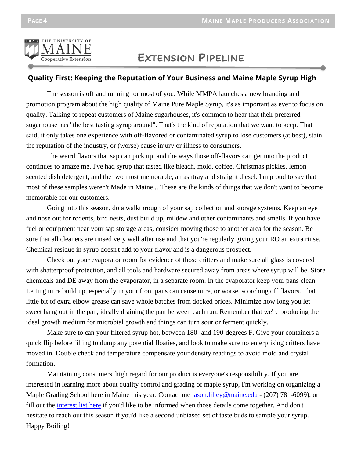

# **EXTENSION PIPELINE**

#### **Quality First: Keeping the Reputation of Your Business and Maine Maple Syrup High**

The season is off and running for most of you. While MMPA launches a new branding and promotion program about the high quality of Maine Pure Maple Syrup, it's as important as ever to focus on quality. Talking to repeat customers of Maine sugarhouses, it's common to hear that their preferred sugarhouse has "the best tasting syrup around". That's the kind of reputation that we want to keep. That said, it only takes one experience with off-flavored or contaminated syrup to lose customers (at best), stain the reputation of the industry, or (worse) cause injury or illness to consumers.

The weird flavors that sap can pick up, and the ways those off-flavors can get into the product continues to amaze me. I've had syrup that tasted like bleach, mold, coffee, Christmas pickles, lemon scented dish detergent, and the two most memorable, an ashtray and straight diesel. I'm proud to say that most of these samples weren't Made in Maine... These are the kinds of things that we don't want to become memorable for our customers.

Going into this season, do a walkthrough of your sap collection and storage systems. Keep an eye and nose out for rodents, bird nests, dust build up, mildew and other contaminants and smells. If you have fuel or equipment near your sap storage areas, consider moving those to another area for the season. Be sure that all cleaners are rinsed very well after use and that you're regularly giving your RO an extra rinse. Chemical residue in syrup doesn't add to your flavor and is a dangerous prospect.

Check out your evaporator room for evidence of those critters and make sure all glass is covered with shatterproof protection, and all tools and hardware secured away from areas where syrup will be. Store chemicals and DE away from the evaporator, in a separate room. In the evaporator keep your pans clean. Letting nitre build up, especially in your front pans can cause nitre, or worse, scorching off flavors. That little bit of extra elbow grease can save whole batches from docked prices. Minimize how long you let sweet hang out in the pan, ideally draining the pan between each run. Remember that we're producing the ideal growth medium for microbial growth and things can turn sour or ferment quickly.

Make sure to can your filtered syrup hot, between 180- and 190-degrees F. Give your containers a quick flip before filling to dump any potential floaties, and look to make sure no enterprising critters have moved in. Double check and temperature compensate your density readings to avoid mold and crystal formation.

Maintaining consumers' high regard for our product is everyone's responsibility. If you are interested in learning more about quality control and grading of maple syrup, I'm working on organizing a Maple Grading School here in Maine this year. Contact me [jason.lilley@maine.edu](mailto:jason.lilley@maine.edu) - (207) 781-6099), or fill out the [interest](https://extension.umaine.edu/maple-grading-school/2021-schools/) list here if you'd like to be informed when those details come together. And don't hesitate to reach out this season if you'd like a second unbiased set of taste buds to sample your syrup. Happy Boiling!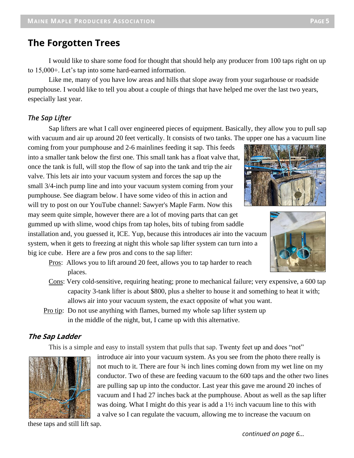#### **The Forgotten Trees**

I would like to share some food for thought that should help any producer from 100 taps right on up to 15,000+. Let's tap into some hard-earned information.

Like me, many of you have low areas and hills that slope away from your sugarhouse or roadside pumphouse. I would like to tell you about a couple of things that have helped me over the last two years, especially last year.

#### *The Sap Lifter*

Sap lifters are what I call over engineered pieces of equipment. Basically, they allow you to pull sap with vacuum and air up around 20 feet vertically. It consists of two tanks. The upper one has a vacuum line

coming from your pumphouse and 2-6 mainlines feeding it sap. This feeds into a smaller tank below the first one. This small tank has a float valve that, once the tank is full, will stop the flow of sap into the tank and trip the air valve. This lets air into your vacuum system and forces the sap up the small 3/4-inch pump line and into your vacuum system coming from your pumphouse. See diagram below. I have some video of this in action and will try to post on our YouTube channel: Sawyer's Maple Farm. Now this may seem quite simple, however there are a lot of moving parts that can get gummed up with slime, wood chips from tap holes, bits of tubing from saddle

installation and, you guessed it, ICE. Yup, because this introduces air into the vacuum system, when it gets to freezing at night this whole sap lifter system can turn into a big ice cube. Here are a few pros and cons to the sap lifter:

- Pros: Allows you to lift around 20 feet, allows you to tap harder to reach places.
- Cons: Very cold-sensitive, requiring heating; prone to mechanical failure; very expensive, a 600 tap capacity 3-tank lifter is about \$800, plus a shelter to house it and something to heat it with; allows air into your vacuum system, the exact opposite of what you want.
- Pro tip: Do not use anything with flames, burned my whole sap lifter system up in the middle of the night, but, I came up with this alternative.

#### **The Sap Ladder**

This is a simple and easy to install system that pulls that sap. Twenty feet up and does "not"

 introduce air into your vacuum system. As you see from the photo there really is not much to it. There are four  $\frac{3}{4}$  inch lines coming down from my wet line on my conductor. Two of these are feeding vacuum to the 600 taps and the other two lines are pulling sap up into the conductor. Last year this gave me around 20 inches of vacuum and I had 27 inches back at the pumphouse. About as well as the sap lifter was doing. What I might do this year is add a  $1\frac{1}{2}$  inch vacuum line to this with a valve so I can regulate the vacuum, allowing me to increase the vacuum on

these taps and still lift sap.

*continued on page 6…*



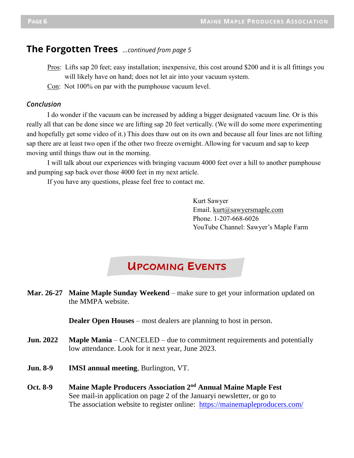#### **The Forgotten Trees** *…continued from page 5*

- Pros: Lifts sap 20 feet; easy installation; inexpensive, this cost around \$200 and it is all fittings you will likely have on hand; does not let air into your vacuum system.
- Con: Not 100% on par with the pumphouse vacuum level.

#### *Conclusion*

I do wonder if the vacuum can be increased by adding a bigger designated vacuum line. Or is this really all that can be done since we are lifting sap 20 feet vertically. (We will do some more experimenting and hopefully get some video of it.) This does thaw out on its own and because all four lines are not lifting sap there are at least two open if the other two freeze overnight. Allowing for vacuum and sap to keep moving until things thaw out in the morning.

I will talk about our experiences with bringing vacuum 4000 feet over a hill to another pumphouse and pumping sap back over those 4000 feet in my next article.

If you have any questions, please feel free to contact me.

Kurt Sawyer Email. [kurt@sawyersmaple.com](mailto:kurt@sawyersmaple.com) Phone. 1-207-668-6026 YouTube Channel: Sawyer's Maple Farm

# **UPCOMING EVENTS**

**Mar. 26-27 Maine Maple Sunday Weekend** – make sure to get your information updated on the MMPA website.

**Dealer Open Houses** – most dealers are planning to host in person.

- **Jun. 2022 Maple Mania** CANCELED due to commitment requirements and potentially low attendance. Look for it next year, June 2023.
- **Jun. 8-9 IMSI annual meeting**, Burlington, VT.
- **Oct. 8-9 Maine Maple Producers Association 2nd Annual Maine Maple Fest** See mail-in application on page 2 of the Januaryi newsletter, or go to The association website to register online: <https://mainemapleproducers.com/>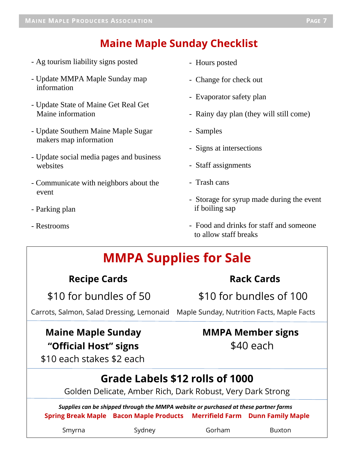**PAGE 3 PAGE 3 PAGE 3 PAGE 3 PAGE 3 PAGE 3 PAGE 3 PAGE 3** 

# **Maine Maple Sunday Checklist**

- Ag tourism liability signs posted
- Update MMPA Maple Sunday map information
- Update State of Maine Get Real Get Maine information
- Update Southern Maine Maple Sugar makers map information
- Update social media pages and business websites
- Communicate with neighbors about the event
- Parking plan
- Restrooms

 $\overline{a}$ 

- Hours posted
- Change for check out
- Evaporator safety plan
- Rainy day plan (they will still come)
- Samples
- Signs at intersections
- Staff assignments
- Trash cans
- Storage for syrup made during the event if boiling sap
- Food and drinks for staff and someone to allow staff breaks

# **MMPA Supplies for Sale**

### **Recipe Cards Rack Cards**

\$10 for bundles of 50 \$10 for bundles of 100

Carrots, Salmon, Salad Dressing, Lemonaid Maple Sunday, Nutrition Facts, Maple Facts

# **Maine Maple Sunday MMPA Member signs "Official Host" signs** \$40 each

# \$10 each stakes \$2 each **Grade Labels \$12 rolls of 1000**

Golden Delicate, Amber Rich, Dark Robust, Very Dark Strong

 *Supplies can be shipped through the MMPA website or purchased at these partner farms* **Spring Break Maple Bacon Maple Products Merrifield Farm Dunn Family Maple**

Smyrna Sydney Gorham Buxton